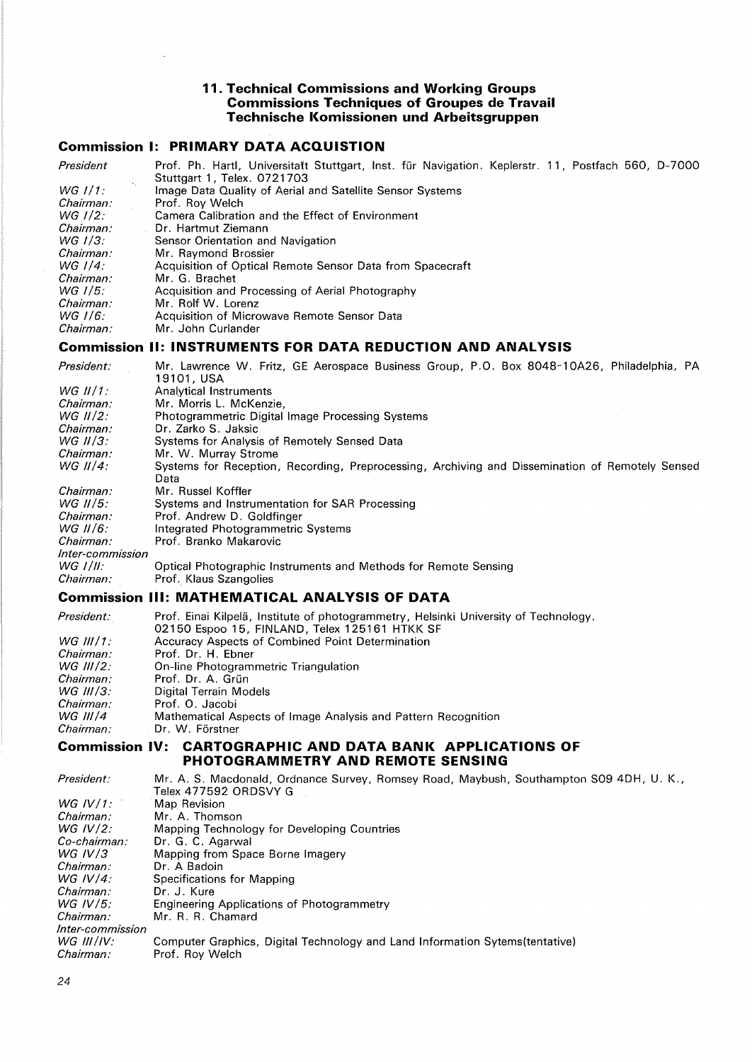### **11. Technical Commissions and Working Groups Commissions Techniques of Groupes de Travail Technische Komissionen und Arbeitsgruppen**

# **Commission I: PRIMARY DATA ACQUISTION**

| President    | Prof. Ph. Hartl, Universitatt Stuttgart, Inst. für Navigation. Keplerstr. 11, Postfach 560, D-7000<br>Stuttgart 1, Telex, 0721703 |
|--------------|-----------------------------------------------------------------------------------------------------------------------------------|
| $WG$ $1/1$ : | Image Data Quality of Aerial and Satellite Sensor Systems                                                                         |
| Chairman:    | Prof. Rov Welch                                                                                                                   |
| WG 1/2.      | Camera Calibration and the Effect of Environment                                                                                  |
| Chairman:    | Dr. Hartmut Ziemann                                                                                                               |
| WG 1/3:      | Sensor Orientation and Navigation                                                                                                 |
| Chairman:    | Mr. Raymond Brossier                                                                                                              |
| WG $1/4$ :   | Acquisition of Optical Remote Sensor Data from Spacecraft                                                                         |
| Chairman:    | Mr. G. Brachet                                                                                                                    |
| $WG$ 1/5:    | Acquisition and Processing of Aerial Photography                                                                                  |
| Chairman:    | Mr. Rolf W. Lorenz                                                                                                                |
| WG 1/6:      | Acquisition of Microwave Remote Sensor Data                                                                                       |
| Chairman:    | Mr. John Curlander                                                                                                                |

### **Commission II: INSTRUMENTS FOR DATA REDUCTION AND ANALYSIS**

| President:         | Mr. Lawrence W. Fritz, GE Aerospace Business Group, P.O. Box 8048-10A26, Philadelphia, PA       |
|--------------------|-------------------------------------------------------------------------------------------------|
|                    | 19101. USA                                                                                      |
| WG $II/1$ :        | Analytical Instruments                                                                          |
| Chairman:          | Mr. Morris L. McKenzie.                                                                         |
| WG $II/2$ :        | <b>Photogrammetric Digital Image Processing Systems</b>                                         |
| Chairman:          | Dr. Zarko S. Jaksic                                                                             |
| WG $II/3$ :        | Systems for Analysis of Remotely Sensed Data                                                    |
| Chairman:          | Mr. W. Murray Strome                                                                            |
| WG $II/4$ :        | Systems for Reception, Recording, Preprocessing, Archiving and Dissemination of Remotely Sensed |
|                    | Data                                                                                            |
| Chairman:          | Mr. Russel Koffler                                                                              |
| $WG$ <i>II</i> /5: | Systems and Instrumentation for SAR Processing                                                  |
| Chairman:          | Prof. Andrew D. Goldfinger                                                                      |
| $WG$ II/6:         | Integrated Photogrammetric Systems                                                              |
| Chairman:          | Prof. Branko Makarovic                                                                          |
| Inter-commission   |                                                                                                 |
| $WG$ $1/II$ :      | Optical Photographic Instruments and Methods for Remote Sensing                                 |
| Chairman:          | Prof. Klaus Szangolies                                                                          |

#### **Commission Ill: MATHEMATICAL ANALYSIS OF DATA**

| President:  | Prof. Einai Kilpelä, Institute of photogrammetry, Helsinki University of Technology. |
|-------------|--------------------------------------------------------------------------------------|
|             | 02150 Espoo 15, FINLAND, Telex 125161 HTKK SF                                        |
| $WG$ III/1: | Accuracy Aspects of Combined Point Determination                                     |
| Chairman:   | Prof. Dr. H. Ebner                                                                   |
| WG III/2:   | On-line Photogrammetric Triangulation                                                |
| Chairman:   | Prof. Dr. A. Grün                                                                    |
| $WG$ III/3: | Digital Terrain Models                                                               |
| Chairman:   | Prof. O. Jacobi                                                                      |
| WG $III/4$  | Mathematical Aspects of Image Analysis and Pattern Recognition                       |
| Chairman:   | Dr. W. Förstner                                                                      |

### **Commission IV: CARTOGRAPHIC AND DATA BANK APPLICATIONS OF PHOTOGRAMMETRY AND REMOTE SENSING**

| President:       | Mr. A. S. Macdonald, Ordnance Survey, Romsey Road, Maybush, Southampton S09 4DH, U. K.,<br>Telex 477592 ORDSVY G |
|------------------|------------------------------------------------------------------------------------------------------------------|
| WG IV/1:         | Map Revision                                                                                                     |
| Chairman:        | Mr. A. Thomson                                                                                                   |
| WG $IV/2$ :      | Mapping Technology for Developing Countries                                                                      |
| $Co$ -chairman:  | Dr. G. C. Agarwal                                                                                                |
| WG IV $/3$       | Mapping from Space Borne Imagery                                                                                 |
| Chairman:        | Dr. A Badoin                                                                                                     |
| WG $IV/4$ :      | Specifications for Mapping                                                                                       |
| Chairman:        | Dr. J. Kure                                                                                                      |
| WG IV/5:         | Engineering Applications of Photogrammetry                                                                       |
| Chairman:        | Mr. R. R. Chamard                                                                                                |
| Inter-commission |                                                                                                                  |
| $WG$ III /IV:    | Computer Graphics, Digital Technology and Land Information Sytems (tentative)                                    |
| Chairman:        | Prof. Roy Welch                                                                                                  |